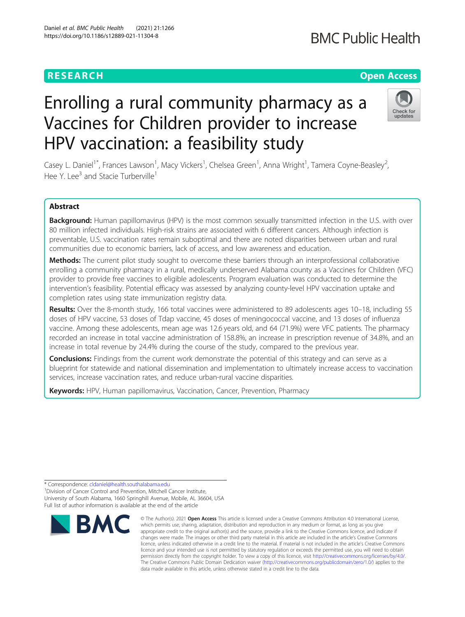# **RESEARCH CHE Open Access**

# Enrolling a rural community pharmacy as a Vaccines for Children provider to increase HPV vaccination: a feasibility study

Casey L. Daniel<sup>1\*</sup>, Frances Lawson<sup>1</sup>, Macy Vickers<sup>1</sup>, Chelsea Green<sup>1</sup>, Anna Wright<sup>1</sup>, Tamera Coyne-Beasley<sup>2</sup> .<br>, Hee Y. Lee<sup>3</sup> and Stacie Turberville<sup>1</sup>

## Abstract

Background: Human papillomavirus (HPV) is the most common sexually transmitted infection in the U.S. with over 80 million infected individuals. High-risk strains are associated with 6 different cancers. Although infection is preventable, U.S. vaccination rates remain suboptimal and there are noted disparities between urban and rural communities due to economic barriers, lack of access, and low awareness and education.

**Methods:** The current pilot study sought to overcome these barriers through an interprofessional collaborative enrolling a community pharmacy in a rural, medically underserved Alabama county as a Vaccines for Children (VFC) provider to provide free vaccines to eligible adolescents. Program evaluation was conducted to determine the intervention's feasibility. Potential efficacy was assessed by analyzing county-level HPV vaccination uptake and completion rates using state immunization registry data.

Results: Over the 8-month study, 166 total vaccines were administered to 89 adolescents ages 10-18, including 55 doses of HPV vaccine, 53 doses of Tdap vaccine, 45 doses of meningococcal vaccine, and 13 doses of influenza vaccine. Among these adolescents, mean age was 12.6 years old, and 64 (71.9%) were VFC patients. The pharmacy recorded an increase in total vaccine administration of 158.8%, an increase in prescription revenue of 34.8%, and an increase in total revenue by 24.4% during the course of the study, compared to the previous year.

**Conclusions:** Findings from the current work demonstrate the potential of this strategy and can serve as a blueprint for statewide and national dissemination and implementation to ultimately increase access to vaccination services, increase vaccination rates, and reduce urban-rural vaccine disparities.

Keywords: HPV, Human papillomavirus, Vaccination, Cancer, Prevention, Pharmacy

\* Correspondence: [cldaniel@health.southalabama.edu](mailto:cldaniel@health.southalabama.edu) <sup>1</sup>

<sup>1</sup> Division of Cancer Control and Prevention, Mitchell Cancer Institute, University of South Alabama, 1660 Springhill Avenue, Mobile, AL 36604, USA Full list of author information is available at the end of the article







<sup>©</sup> The Author(s), 2021 **Open Access** This article is licensed under a Creative Commons Attribution 4.0 International License, which permits use, sharing, adaptation, distribution and reproduction in any medium or format, as long as you give appropriate credit to the original author(s) and the source, provide a link to the Creative Commons licence, and indicate if changes were made. The images or other third party material in this article are included in the article's Creative Commons licence, unless indicated otherwise in a credit line to the material. If material is not included in the article's Creative Commons licence and your intended use is not permitted by statutory regulation or exceeds the permitted use, you will need to obtain permission directly from the copyright holder. To view a copy of this licence, visit [http://creativecommons.org/licenses/by/4.0/.](http://creativecommons.org/licenses/by/4.0/) The Creative Commons Public Domain Dedication waiver [\(http://creativecommons.org/publicdomain/zero/1.0/](http://creativecommons.org/publicdomain/zero/1.0/)) applies to the data made available in this article, unless otherwise stated in a credit line to the data.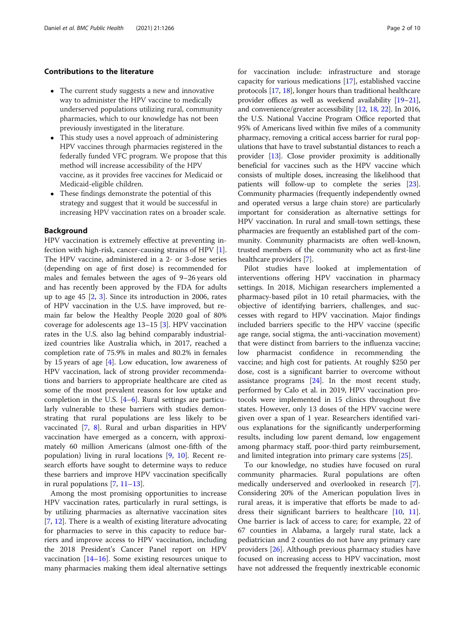#### Contributions to the literature

- The current study suggests a new and innovative way to administer the HPV vaccine to medically underserved populations utilizing rural, community pharmacies, which to our knowledge has not been previously investigated in the literature.
- This study uses a novel approach of administering HPV vaccines through pharmacies registered in the federally funded VFC program. We propose that this method will increase accessibility of the HPV vaccine, as it provides free vaccines for Medicaid or Medicaid-eligible children.
- These findings demonstrate the potential of this strategy and suggest that it would be successful in increasing HPV vaccination rates on a broader scale.

#### Background

HPV vaccination is extremely effective at preventing infection with high-risk, cancer-causing strains of HPV [\[1](#page-8-0)]. The HPV vaccine, administered in a 2- or 3-dose series (depending on age of first dose) is recommended for males and females between the ages of 9–26 years old and has recently been approved by the FDA for adults up to age 45 [\[2](#page-8-0), [3\]](#page-8-0). Since its introduction in 2006, rates of HPV vaccination in the U.S. have improved, but remain far below the Healthy People 2020 goal of 80% coverage for adolescents age 13–15 [\[3\]](#page-8-0). HPV vaccination rates in the U.S. also lag behind comparably industrialized countries like Australia which, in 2017, reached a completion rate of 75.9% in males and 80.2% in females by 15 years of age [\[4](#page-8-0)]. Low education, low awareness of HPV vaccination, lack of strong provider recommendations and barriers to appropriate healthcare are cited as some of the most prevalent reasons for low uptake and completion in the U.S. [\[4](#page-8-0)–[6](#page-8-0)]. Rural settings are particularly vulnerable to these barriers with studies demonstrating that rural populations are less likely to be vaccinated [[7,](#page-8-0) [8\]](#page-8-0). Rural and urban disparities in HPV vaccination have emerged as a concern, with approximately 60 million Americans (almost one-fifth of the population) living in rural locations [[9,](#page-8-0) [10\]](#page-8-0). Recent research efforts have sought to determine ways to reduce these barriers and improve HPV vaccination specifically in rural populations [\[7](#page-8-0), [11](#page-8-0)–[13\]](#page-8-0).

Among the most promising opportunities to increase HPV vaccination rates, particularly in rural settings, is by utilizing pharmacies as alternative vaccination sites [[7,](#page-8-0) [12\]](#page-8-0). There is a wealth of existing literature advocating for pharmacies to serve in this capacity to reduce barriers and improve access to HPV vaccination, including the 2018 President's Cancer Panel report on HPV vaccination  $[14–16]$  $[14–16]$  $[14–16]$ . Some existing resources unique to many pharmacies making them ideal alternative settings for vaccination include: infrastructure and storage capacity for various medications [[17\]](#page-8-0), established vaccine protocols [[17](#page-8-0), [18\]](#page-8-0), longer hours than traditional healthcare provider offices as well as weekend availability [\[19](#page-8-0)–[21](#page-8-0)], and convenience/greater accessibility [[12,](#page-8-0) [18](#page-8-0), [22\]](#page-8-0). In 2016, the U.S. National Vaccine Program Office reported that 95% of Americans lived within five miles of a community pharmacy, removing a critical access barrier for rural populations that have to travel substantial distances to reach a provider [\[13\]](#page-8-0). Close provider proximity is additionally beneficial for vaccines such as the HPV vaccine which consists of multiple doses, increasing the likelihood that patients will follow-up to complete the series [[23](#page-8-0)]. Community pharmacies (frequently independently owned and operated versus a large chain store) are particularly important for consideration as alternative settings for HPV vaccination. In rural and small-town settings, these pharmacies are frequently an established part of the community. Community pharmacists are often well-known, trusted members of the community who act as first-line healthcare providers [[7](#page-8-0)].

Pilot studies have looked at implementation of interventions offering HPV vaccination in pharmacy settings. In 2018, Michigan researchers implemented a pharmacy-based pilot in 10 retail pharmacies, with the objective of identifying barriers, challenges, and successes with regard to HPV vaccination. Major findings included barriers specific to the HPV vaccine (specific age range, social stigma, the anti-vaccination movement) that were distinct from barriers to the influenza vaccine; low pharmacist confidence in recommending the vaccine; and high cost for patients. At roughly \$250 per dose, cost is a significant barrier to overcome without assistance programs [[24](#page-8-0)]. In the most recent study, performed by Calo et al. in 2019, HPV vaccination protocols were implemented in 15 clinics throughout five states. However, only 13 doses of the HPV vaccine were given over a span of 1 year. Researchers identified various explanations for the significantly underperforming results, including low parent demand, low engagement among pharmacy staff, poor-third party reimbursement, and limited integration into primary care systems [\[25](#page-8-0)].

To our knowledge, no studies have focused on rural community pharmacies. Rural populations are often medically underserved and overlooked in research [\[7](#page-8-0)]. Considering 20% of the American population lives in rural areas, it is imperative that efforts be made to address their significant barriers to healthcare [[10,](#page-8-0) [11](#page-8-0)]. One barrier is lack of access to care; for example, 22 of 67 counties in Alabama, a largely rural state, lack a pediatrician and 2 counties do not have any primary care providers [[26\]](#page-8-0). Although previous pharmacy studies have focused on increasing access to HPV vaccination, most have not addressed the frequently inextricable economic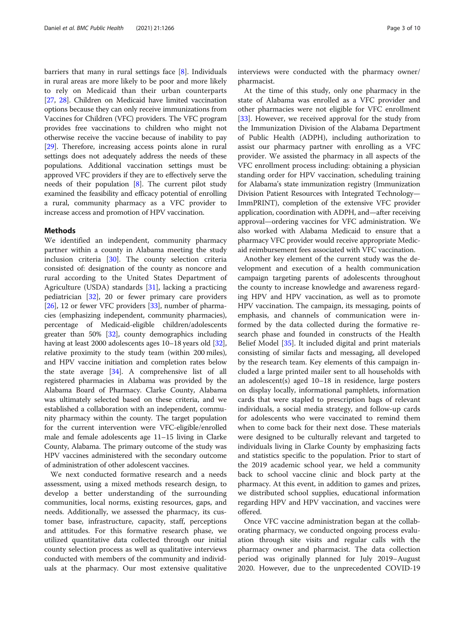barriers that many in rural settings face [[8\]](#page-8-0). Individuals in rural areas are more likely to be poor and more likely to rely on Medicaid than their urban counterparts [[27](#page-8-0), [28](#page-8-0)]. Children on Medicaid have limited vaccination options because they can only receive immunizations from Vaccines for Children (VFC) providers. The VFC program provides free vaccinations to children who might not otherwise receive the vaccine because of inability to pay [[29](#page-8-0)]. Therefore, increasing access points alone in rural settings does not adequately address the needs of these populations. Additional vaccination settings must be approved VFC providers if they are to effectively serve the needs of their population [[8\]](#page-8-0). The current pilot study examined the feasibility and efficacy potential of enrolling a rural, community pharmacy as a VFC provider to increase access and promotion of HPV vaccination.

#### Methods

We identified an independent, community pharmacy partner within a county in Alabama meeting the study inclusion criteria [\[30](#page-8-0)]. The county selection criteria consisted of: designation of the county as noncore and rural according to the United States Department of Agriculture (USDA) standards [[31\]](#page-8-0), lacking a practicing pediatrician [\[32](#page-8-0)], 20 or fewer primary care providers [[26](#page-8-0)], 12 or fewer VFC providers [[33](#page-8-0)], number of pharmacies (emphasizing independent, community pharmacies), percentage of Medicaid-eligible children/adolescents greater than 50% [[32](#page-8-0)], county demographics including having at least 2000 adolescents ages 10–18 years old [[32](#page-8-0)], relative proximity to the study team (within 200 miles), and HPV vaccine initiation and completion rates below the state average  $[34]$  $[34]$ . A comprehensive list of all registered pharmacies in Alabama was provided by the Alabama Board of Pharmacy. Clarke County, Alabama was ultimately selected based on these criteria, and we established a collaboration with an independent, community pharmacy within the county. The target population for the current intervention were VFC-eligible/enrolled male and female adolescents age 11–15 living in Clarke County, Alabama. The primary outcome of the study was HPV vaccines administered with the secondary outcome of administration of other adolescent vaccines.

We next conducted formative research and a needs assessment, using a mixed methods research design, to develop a better understanding of the surrounding communities, local norms, existing resources, gaps, and needs. Additionally, we assessed the pharmacy, its customer base, infrastructure, capacity, staff, perceptions and attitudes. For this formative research phase, we utilized quantitative data collected through our initial county selection process as well as qualitative interviews conducted with members of the community and individuals at the pharmacy. Our most extensive qualitative

interviews were conducted with the pharmacy owner/ pharmacist.

At the time of this study, only one pharmacy in the state of Alabama was enrolled as a VFC provider and other pharmacies were not eligible for VFC enrollment [[33\]](#page-8-0). However, we received approval for the study from the Immunization Division of the Alabama Department of Public Health (ADPH), including authorization to assist our pharmacy partner with enrolling as a VFC provider. We assisted the pharmacy in all aspects of the VFC enrollment process including: obtaining a physician standing order for HPV vaccination, scheduling training for Alabama's state immunization registry (Immunization Division Patient Resources with Integrated Technology— ImmPRINT), completion of the extensive VFC provider application, coordination with ADPH, and—after receiving approval—ordering vaccines for VFC administration. We also worked with Alabama Medicaid to ensure that a pharmacy VFC provider would receive appropriate Medicaid reimbursement fees associated with VFC vaccination.

Another key element of the current study was the development and execution of a health communication campaign targeting parents of adolescents throughout the county to increase knowledge and awareness regarding HPV and HPV vaccination, as well as to promote HPV vaccination. The campaign, its messaging, points of emphasis, and channels of communication were informed by the data collected during the formative research phase and founded in constructs of the Health Belief Model [[35\]](#page-8-0). It included digital and print materials consisting of similar facts and messaging, all developed by the research team. Key elements of this campaign included a large printed mailer sent to all households with an adolescent(s) aged 10–18 in residence, large posters on display locally, informational pamphlets, information cards that were stapled to prescription bags of relevant individuals, a social media strategy, and follow-up cards for adolescents who were vaccinated to remind them when to come back for their next dose. These materials were designed to be culturally relevant and targeted to individuals living in Clarke County by emphasizing facts and statistics specific to the population. Prior to start of the 2019 academic school year, we held a community back to school vaccine clinic and block party at the pharmacy. At this event, in addition to games and prizes, we distributed school supplies, educational information regarding HPV and HPV vaccination, and vaccines were offered.

Once VFC vaccine administration began at the collaborating pharmacy, we conducted ongoing process evaluation through site visits and regular calls with the pharmacy owner and pharmacist. The data collection period was originally planned for July 2019–August 2020. However, due to the unprecedented COVID-19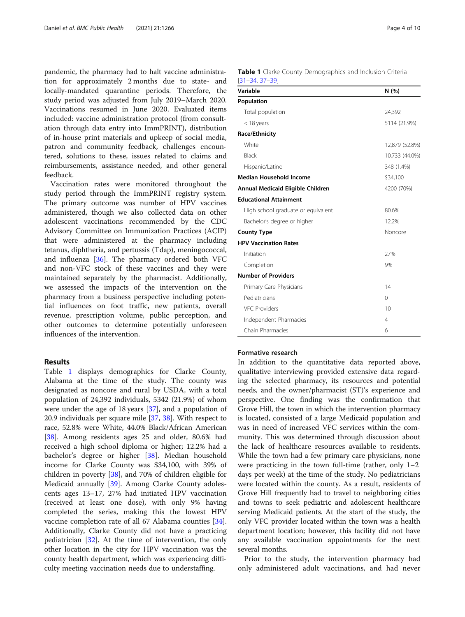pandemic, the pharmacy had to halt vaccine administration for approximately 2 months due to state- and locally-mandated quarantine periods. Therefore, the study period was adjusted from July 2019–March 2020. Vaccinations resumed in June 2020. Evaluated items included: vaccine administration protocol (from consultation through data entry into ImmPRINT), distribution of in-house print materials and upkeep of social media, patron and community feedback, challenges encountered, solutions to these, issues related to claims and reimbursements, assistance needed, and other general feedback.

Vaccination rates were monitored throughout the study period through the ImmPRINT registry system. The primary outcome was number of HPV vaccines administered, though we also collected data on other adolescent vaccinations recommended by the CDC Advisory Committee on Immunization Practices (ACIP) that were administered at the pharmacy including tetanus, diphtheria, and pertussis (Tdap), meningococcal, and influenza [\[36\]](#page-8-0). The pharmacy ordered both VFC and non-VFC stock of these vaccines and they were maintained separately by the pharmacist. Additionally, we assessed the impacts of the intervention on the pharmacy from a business perspective including potential influences on foot traffic, new patients, overall revenue, prescription volume, public perception, and other outcomes to determine potentially unforeseen influences of the intervention.

#### Results

Table 1 displays demographics for Clarke County, Alabama at the time of the study. The county was designated as noncore and rural by USDA, with a total population of 24,392 individuals, 5342 (21.9%) of whom were under the age of 18 years [\[37](#page-9-0)], and a population of 20.9 individuals per square mile [\[37](#page-9-0), [38](#page-9-0)]. With respect to race, 52.8% were White, 44.0% Black/African American [[38\]](#page-9-0). Among residents ages 25 and older, 80.6% had received a high school diploma or higher; 12.2% had a bachelor's degree or higher [[38\]](#page-9-0). Median household income for Clarke County was \$34,100, with 39% of children in poverty [[38\]](#page-9-0), and 70% of children eligible for Medicaid annually [\[39](#page-9-0)]. Among Clarke County adolescents ages 13–17, 27% had initiated HPV vaccination (received at least one dose), with only 9% having completed the series, making this the lowest HPV vaccine completion rate of all 67 Alabama counties [\[34](#page-8-0)]. Additionally, Clarke County did not have a practicing pediatrician [\[32](#page-8-0)]. At the time of intervention, the only other location in the city for HPV vaccination was the county health department, which was experiencing difficulty meeting vaccination needs due to understaffing.

|                      |  | <b>Table 1</b> Clarke County Demographics and Inclusion Criteria |  |  |
|----------------------|--|------------------------------------------------------------------|--|--|
| $[31 - 34, 37 - 39]$ |  |                                                                  |  |  |

| Variable                           | N(%)           |
|------------------------------------|----------------|
| Population                         |                |
| Total population                   | 24,392         |
| $<$ 18 years                       | 5114 (21.9%)   |
| Race/Ethnicity                     |                |
| White                              | 12,879 (52.8%) |
| <b>Black</b>                       | 10,733 (44.0%) |
| Hispanic/Latino                    | 348 (1.4%)     |
| Median Household Income            | \$34,100       |
| Annual Medicaid Eligible Children  | 4200 (70%)     |
| <b>Educational Attainment</b>      |                |
| High school graduate or equivalent | 80.6%          |
| Bachelor's degree or higher        | 12.2%          |
| <b>County Type</b>                 | Noncore        |
| <b>HPV Vaccination Rates</b>       |                |
| Initiation                         | 27%            |
| Completion                         | 9%             |
| <b>Number of Providers</b>         |                |
| Primary Care Physicians            | 14             |
| Pediatricians                      | $\Omega$       |
| <b>VFC Providers</b>               | 10             |
| Independent Pharmacies             | $\overline{4}$ |
| Chain Pharmacies                   | 6              |

### Formative research

In addition to the quantitative data reported above, qualitative interviewing provided extensive data regarding the selected pharmacy, its resources and potential needs, and the owner/pharmacist (ST)'s experience and perspective. One finding was the confirmation that Grove Hill, the town in which the intervention pharmacy is located, consisted of a large Medicaid population and was in need of increased VFC services within the community. This was determined through discussion about the lack of healthcare resources available to residents. While the town had a few primary care physicians, none were practicing in the town full-time (rather, only 1–2 days per week) at the time of the study. No pediatricians were located within the county. As a result, residents of Grove Hill frequently had to travel to neighboring cities and towns to seek pediatric and adolescent healthcare serving Medicaid patients. At the start of the study, the only VFC provider located within the town was a health department location; however, this facility did not have any available vaccination appointments for the next several months.

Prior to the study, the intervention pharmacy had only administered adult vaccinations, and had never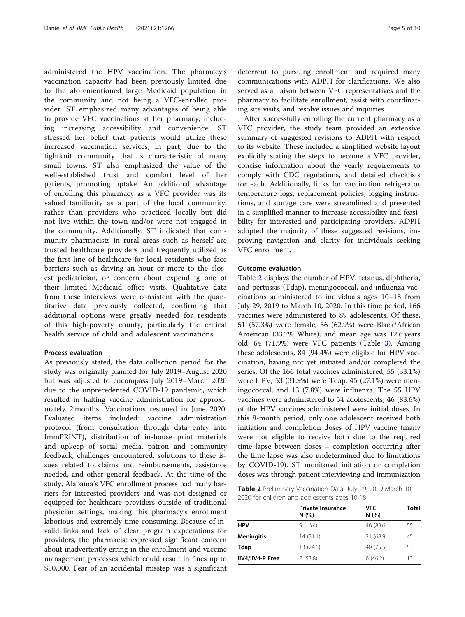administered the HPV vaccination. The pharmacy's vaccination capacity had been previously limited due to the aforementioned large Medicaid population in the community and not being a VFC-enrolled provider. ST emphasized many advantages of being able to provide VFC vaccinations at her pharmacy, including increasing accessibility and convenience. ST stressed her belief that patients would utilize these increased vaccination services, in part, due to the tightknit community that is characteristic of many small towns. ST also emphasized the value of the well-established trust and comfort level of her patients, promoting uptake. An additional advantage of enrolling this pharmacy as a VFC provider was its valued familiarity as a part of the local community, rather than providers who practiced locally but did not live within the town and/or were not engaged in the community. Additionally, ST indicated that community pharmacists in rural areas such as herself are trusted healthcare providers and frequently utilized as the first-line of healthcare for local residents who face barriers such as driving an hour or more to the closest pediatrician, or concern about expending one of their limited Medicaid office visits. Qualitative data from these interviews were consistent with the quantitative data previously collected, confirming that additional options were greatly needed for residents of this high-poverty county, particularly the critical health service of child and adolescent vaccinations.

#### Process evaluation

As previously stated, the data collection period for the study was originally planned for July 2019–August 2020 but was adjusted to encompass July 2019–March 2020 due to the unprecedented COVID-19 pandemic, which resulted in halting vaccine administration for approximately 2 months. Vaccinations resumed in June 2020. Evaluated items included: vaccine administration protocol (from consultation through data entry into ImmPRINT), distribution of in-house print materials and upkeep of social media, patron and community feedback, challenges encountered, solutions to these issues related to claims and reimbursements, assistance needed, and other general feedback. At the time of the study, Alabama's VFC enrollment process had many barriers for interested providers and was not designed or equipped for healthcare providers outside of traditional physician settings, making this pharmacy's enrollment laborious and extremely time-consuming. Because of invalid links and lack of clear program expectations for providers, the pharmacist expressed significant concern about inadvertently erring in the enrollment and vaccine management processes which could result in fines up to \$50,000. Fear of an accidental misstep was a significant deterrent to pursuing enrollment and required many communications with ADPH for clarifications. We also served as a liaison between VFC representatives and the pharmacy to facilitate enrollment, assist with coordinating site visits, and resolve issues and inquiries.

After successfully enrolling the current pharmacy as a VFC provider, the study team provided an extensive summary of suggested revisions to ADPH with respect to its website. These included a simplified website layout explicitly stating the steps to become a VFC provider, concise information about the yearly requirements to comply with CDC regulations, and detailed checklists for each. Additionally, links for vaccination refrigerator temperature logs, replacement policies, logging instructions, and storage care were streamlined and presented in a simplified manner to increase accessibility and feasibility for interested and participating providers. ADPH adopted the majority of these suggested revisions, improving navigation and clarity for individuals seeking VFC enrollment.

#### Outcome evaluation

Table 2 displays the number of HPV, tetanus, diphtheria, and pertussis (Tdap), meningococcal, and influenza vaccinations administered to individuals ages 10–18 from July 29, 2019 to March 10, 2020. In this time period, 166 vaccines were administered to 89 adolescents. Of these, 51 (57.3%) were female, 56 (62.9%) were Black/African American (33.7% White), and mean age was 12.6 years old; 64 (71.9%) were VFC patients (Table [3\)](#page-5-0). Among these adolescents, 84 (94.4%) were eligible for HPV vaccination, having not yet initiated and/or completed the series. Of the 166 total vaccines administered, 55 (33.1%) were HPV, 53 (31.9%) were Tdap, 45 (27.1%) were meningococcal, and 13 (7.8%) were influenza. The 55 HPV vaccines were administered to 54 adolescents; 46 (83.6%) of the HPV vaccines administered were initial doses. In this 8-month period, only one adolescent received both initiation and completion doses of HPV vaccine (many were not eligible to receive both due to the required time lapse between doses – completion occurring after the time lapse was also undetermined due to limitations by COVID-19). ST monitored initiation or completion doses was through patient interviewing and immunization

Table 2 Preliminary Vaccination Data: July 29, 2019-March 10, 2020 for children and adolescents ages 10-18

|                  | <b>Private Insurance</b><br>N(%) | <b>VFC</b><br>N(%) | <b>Total</b> |
|------------------|----------------------------------|--------------------|--------------|
| <b>HPV</b>       | 9(16.4)                          | 46 (83.6)          | 55           |
| Meningitis       | 14(31.1)                         | 31 (68.9)          | 45           |
| Tdap             | 13 (24.5)                        | 40 (75.5)          | 53           |
| IIV4/IIV4-P Free | 7(53.8)                          | 6(46.2)            | 13           |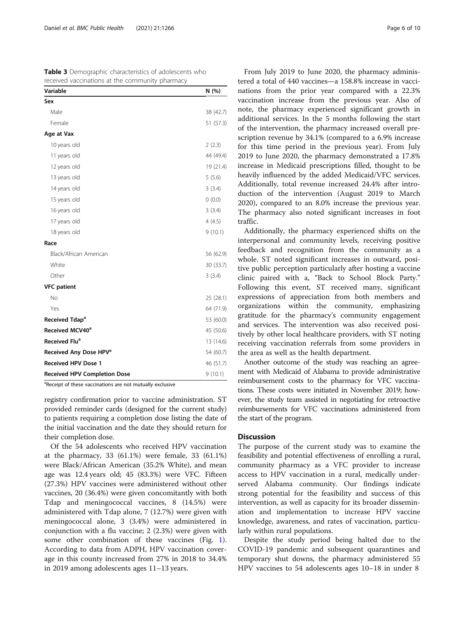<span id="page-5-0"></span>

| Table 3 Demographic characteristics of adolescents who |
|--------------------------------------------------------|
| received vaccinations at the community pharmacy        |

| Variable                            | N (%)     |
|-------------------------------------|-----------|
| Sex                                 |           |
| Male                                | 38 (42.7) |
| Female                              | 51 (57.3) |
| Age at Vax                          |           |
| 10 years old                        | 2(2.3)    |
| 11 years old                        | 44 (49.4) |
| 12 years old                        | 19 (21.4) |
| 13 years old                        | 5(5.6)    |
| 14 years old                        | 3(3.4)    |
| 15 years old                        | (0.0)     |
| 16 years old                        | 3(3.4)    |
| 17 years old                        | 4(4.5)    |
| 18 years old                        | 9(10.1)   |
| Race                                |           |
| Black/African American              | 56 (62.9) |
| White                               | 30 (33.7) |
| Other                               | 3(3.4)    |
| <b>VFC patient</b>                  |           |
| No                                  | 25(28.1)  |
| Yes                                 | 64 (71.9) |
| Received Tdap <sup>a</sup>          | 53 (60.0) |
| Received MCV40 <sup>a</sup>         | 45 (50.6) |
| Received Flu <sup>a</sup>           | 13 (14.6) |
| Received Any Dose HPV <sup>a</sup>  | 54 (60.7) |
| <b>Received HPV Dose 1</b>          | 46 (51.7) |
| <b>Received HPV Completion Dose</b> | 9(10.1)   |

<sup>a</sup>Receipt of these vaccinations are not mutually exclusive

registry confirmation prior to vaccine administration. ST provided reminder cards (designed for the current study) to patients requiring a completion dose listing the date of the initial vaccination and the date they should return for their completion dose.

Of the 54 adolescents who received HPV vaccination at the pharmacy, 33 (61.1%) were female, 33 (61.1%) were Black/African American (35.2% White), and mean age was 12.4 years old; 45 (83.3%) were VFC. Fifteen (27.3%) HPV vaccines were administered without other vaccines, 20 (36.4%) were given concomitantly with both Tdap and meningococcal vaccines, 8 (14.5%) were administered with Tdap alone, 7 (12.7%) were given with meningococcal alone, 3 (3.4%) were administered in conjunction with a flu vaccine; 2 (2.3%) were given with some other combination of these vaccines (Fig. [1](#page-6-0)). According to data from ADPH, HPV vaccination coverage in this county increased from 27% in 2018 to 34.4% in 2019 among adolescents ages 11–13 years.

From July 2019 to June 2020, the pharmacy administered a total of 440 vaccines—a 158.8% increase in vaccinations from the prior year compared with a 22.3% vaccination increase from the previous year. Also of note, the pharmacy experienced significant growth in additional services. In the 5 months following the start of the intervention, the pharmacy increased overall prescription revenue by 34.1% (compared to a 6.9% increase for this time period in the previous year). From July 2019 to June 2020, the pharmacy demonstrated a 17.8% increase in Medicaid prescriptions filled, thought to be heavily influenced by the added Medicaid/VFC services. Additionally, total revenue increased 24.4% after introduction of the intervention (August 2019 to March 2020), compared to an 8.0% increase the previous year. The pharmacy also noted significant increases in foot traffic.

Additionally, the pharmacy experienced shifts on the interpersonal and community levels, receiving positive feedback and recognition from the community as a whole. ST noted significant increases in outward, positive public perception particularly after hosting a vaccine clinic paired with a, "Back to School Block Party." Following this event, ST received many, significant expressions of appreciation from both members and organizations within the community, emphasizing gratitude for the pharmacy's community engagement and services. The intervention was also received positively by other local healthcare providers, with ST noting receiving vaccination referrals from some providers in the area as well as the health department.

Another outcome of the study was reaching an agreement with Medicaid of Alabama to provide administrative reimbursement costs to the pharmacy for VFC vaccinations. These costs were initiated in November 2019; however, the study team assisted in negotiating for retroactive reimbursements for VFC vaccinations administered from the start of the program.

#### **Discussion**

The purpose of the current study was to examine the feasibility and potential effectiveness of enrolling a rural, community pharmacy as a VFC provider to increase access to HPV vaccination in a rural, medically underserved Alabama community. Our findings indicate strong potential for the feasibility and success of this intervention, as well as capacity for its broader dissemination and implementation to increase HPV vaccine knowledge, awareness, and rates of vaccination, particularly within rural populations.

Despite the study period being halted due to the COVID-19 pandemic and subsequent quarantines and temporary shut downs, the pharmacy administered 55 HPV vaccines to 54 adolescents ages 10–18 in under 8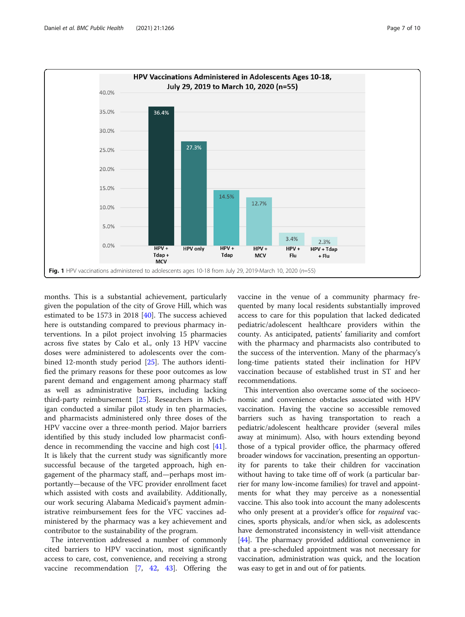<span id="page-6-0"></span>

months. This is a substantial achievement, particularly given the population of the city of Grove Hill, which was estimated to be 1573 in 2018 [\[40\]](#page-9-0). The success achieved here is outstanding compared to previous pharmacy interventions. In a pilot project involving 15 pharmacies across five states by Calo et al., only 13 HPV vaccine doses were administered to adolescents over the combined 12-month study period [[25](#page-8-0)]. The authors identified the primary reasons for these poor outcomes as low parent demand and engagement among pharmacy staff as well as administrative barriers, including lacking third-party reimbursement [[25](#page-8-0)]. Researchers in Michigan conducted a similar pilot study in ten pharmacies, and pharmacists administered only three doses of the HPV vaccine over a three-month period. Major barriers identified by this study included low pharmacist confidence in recommending the vaccine and high cost [\[41](#page-9-0)]. It is likely that the current study was significantly more successful because of the targeted approach, high engagement of the pharmacy staff, and—perhaps most importantly—because of the VFC provider enrollment facet which assisted with costs and availability. Additionally, our work securing Alabama Medicaid's payment administrative reimbursement fees for the VFC vaccines administered by the pharmacy was a key achievement and contributor to the sustainability of the program.

The intervention addressed a number of commonly cited barriers to HPV vaccination, most significantly access to care, cost, convenience, and receiving a strong vaccine recommendation [\[7](#page-8-0), [42](#page-9-0), [43\]](#page-9-0). Offering the vaccine in the venue of a community pharmacy frequented by many local residents substantially improved access to care for this population that lacked dedicated pediatric/adolescent healthcare providers within the county. As anticipated, patients' familiarity and comfort with the pharmacy and pharmacists also contributed to the success of the intervention. Many of the pharmacy's long-time patients stated their inclination for HPV vaccination because of established trust in ST and her recommendations.

This intervention also overcame some of the socioeconomic and convenience obstacles associated with HPV vaccination. Having the vaccine so accessible removed barriers such as having transportation to reach a pediatric/adolescent healthcare provider (several miles away at minimum). Also, with hours extending beyond those of a typical provider office, the pharmacy offered broader windows for vaccination, presenting an opportunity for parents to take their children for vaccination without having to take time off of work (a particular barrier for many low-income families) for travel and appointments for what they may perceive as a nonessential vaccine. This also took into account the many adolescents who only present at a provider's office for *required* vaccines, sports physicals, and/or when sick, as adolescents have demonstrated inconsistency in well-visit attendance [[44](#page-9-0)]. The pharmacy provided additional convenience in that a pre-scheduled appointment was not necessary for vaccination, administration was quick, and the location was easy to get in and out of for patients.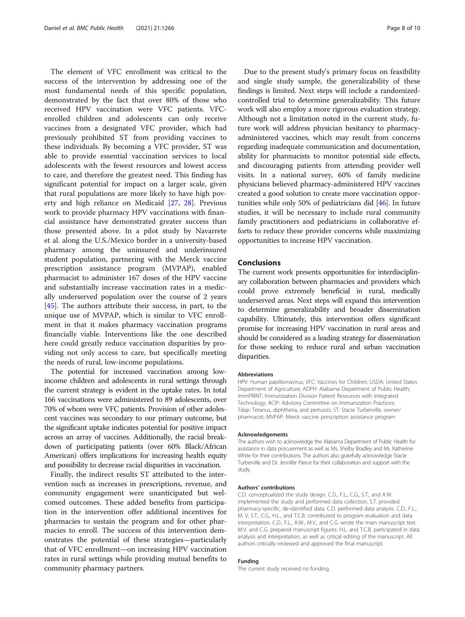The element of VFC enrollment was critical to the success of the intervention by addressing one of the most fundamental needs of this specific population, demonstrated by the fact that over 80% of those who received HPV vaccination were VFC patients. VFCenrolled children and adolescents can only receive vaccines from a designated VFC provider, which had previously prohibited ST from providing vaccines to these individuals. By becoming a VFC provider, ST was able to provide essential vaccination services to local adolescents with the fewest resources and lowest access to care, and therefore the greatest need. This finding has significant potential for impact on a larger scale, given that rural populations are more likely to have high poverty and high reliance on Medicaid [[27](#page-8-0), [28](#page-8-0)]. Previous work to provide pharmacy HPV vaccinations with financial assistance have demonstrated greater success than those presented above. In a pilot study by Navarrete et al. along the U.S./Mexico border in a university-based pharmacy among the uninsured and underinsured student population, partnering with the Merck vaccine prescription assistance program (MVPAP), enabled pharmacist to administer 167 doses of the HPV vaccine and substantially increase vaccination rates in a medically underserved population over the course of 2 years [[45\]](#page-9-0). The authors attribute their success, in part, to the unique use of MVPAP, which is similar to VFC enrollment in that it makes pharmacy vaccination programs financially viable. Interventions like the one described here could greatly reduce vaccination disparities by providing not only access to care, but specifically meeting the needs of rural, low-income populations.

The potential for increased vaccination among lowincome children and adolescents in rural settings through the current strategy is evident in the uptake rates. In total 166 vaccinations were administered to 89 adolescents, over 70% of whom were VFC patients. Provision of other adolescent vaccines was secondary to our primary outcome, but the significant uptake indicates potential for positive impact across an array of vaccines. Additionally, the racial breakdown of participating patients (over 60% Black/African American) offers implications for increasing health equity and possibility to decrease racial disparities in vaccination.

Finally, the indirect results ST attributed to the intervention such as increases in prescriptions, revenue, and community engagement were unanticipated but welcomed outcomes. These added benefits from participation in the intervention offer additional incentives for pharmacies to sustain the program and for other pharmacies to enroll. The success of this intervention demonstrates the potential of these strategies—particularly that of VFC enrollment—on increasing HPV vaccination rates in rural settings while providing mutual benefits to community pharmacy partners.

Due to the present study's primary focus on feasibility and single study sample, the generalizability of these findings is limited. Next steps will include a randomizedcontrolled trial to determine generalizability. This future work will also employ a more rigorous evaluation strategy. Although not a limitation noted in the current study, future work will address physician hesitancy to pharmacyadministered vaccines, which may result from concerns regarding inadequate communication and documentation, ability for pharmacists to monitor potential side effects, and discouraging patients from attending provider well visits. In a national survey, 60% of family medicine physicians believed pharmacy-administered HPV vaccines created a good solution to create more vaccination opportunities while only 50% of pediatricians did [[46](#page-9-0)]. In future studies, it will be necessary to include rural community family practitioners and pediatricians in collaborative efforts to reduce these provider concerns while maximizing opportunities to increase HPV vaccination.

#### **Conclusions**

The current work presents opportunities for interdisciplinary collaboration between pharmacies and providers which could prove extremely beneficial in rural, medically underserved areas. Next steps will expand this intervention to determine generalizability and broader dissemination capability. Ultimately, this intervention offers significant promise for increasing HPV vaccination in rural areas and should be considered as a leading strategy for dissemination for those seeking to reduce rural and urban vaccination disparities.

#### Abbreviations

HPV: Human papillomavirus; VFC: Vaccines for Children; USDA: United States Department of Agriculture; ADPH: Alabama Department of Public Health; ImmPRINT: Immunization Division Patient Resources with Integrated Technology; ACIP: Advisory Committee on Immunization Practices; Tdap: Tetanus, diphtheria, and pertussis; ST: Stacie Turberville, owner/ pharmacist; MVPAP: Merck vaccine prescription assistance program

#### Acknowledgements

The authors wish to acknowledge the Alabama Department of Public Health for assistance in data procurement as well as Ms. Shelby Bradley and Ms. Katherine White for their contributions. The authors also gratefully acknowledge Stacie Turberville and Dr. Jennifer Pierce for their collaboration and support with the study.

#### Authors' contributions

C.D. conceptualized the study design. C.D., F.L., C.G., S.T., and A.W. implemented the study and performed data collection. S.T. provided pharmacy-specific, de-identified data. C.D. performed data analysis. C.D., F.L., M. V, S.T., C.G., H.L., and T.C.B. contributed to program evaluation and data interpretation. C.D., F.L., A.W., M.V., and C.G. wrote the main manuscript text. M.V. and C.G. prepared manuscript figures. H.L. and T.C.B. participated in data analysis and interpretation, as well as critical editing of the manuscript. All authors critically reviewed and approved the final manuscript.

#### Funding

The current study received no funding.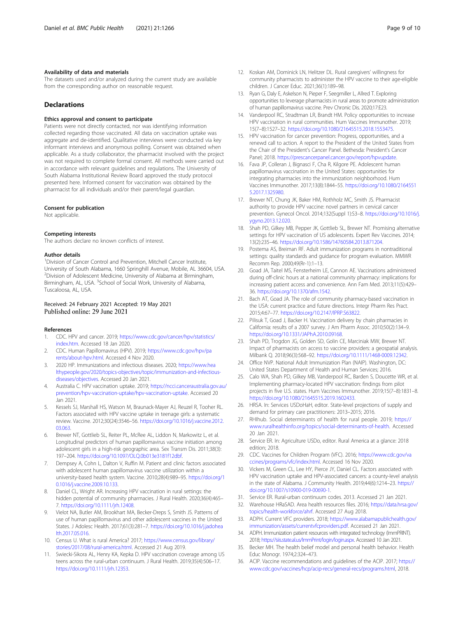#### <span id="page-8-0"></span>Availability of data and materials

The datasets used and/or analyzed during the current study are available from the corresponding author on reasonable request.

#### **Declarations**

#### Ethics approval and consent to participate

Patients were not directly contacted, nor was identifying information collected regarding those vaccinated. All data on vaccination uptake was aggregate and de-identified. Qualitative interviews were conducted via key informant interviews and anonymous polling. Consent was obtained when applicable. As a study collaborator, the pharmacist involved with the project was not required to complete formal consent. All methods were carried out in accordance with relevant guidelines and regulations. The University of South Alabama Institutional Review Board approved the study protocol presented here. Informed consent for vaccination was obtained by the pharmacist for all individuals and/or their parent/legal guardian.

#### Consent for publication

Not applicable.

#### Competing interests

The authors declare no known conflicts of interest.

#### Author details

<sup>1</sup> Division of Cancer Control and Prevention, Mitchell Cancer Institute, University of South Alabama, 1660 Springhill Avenue, Mobile, AL 36604, USA. <sup>2</sup> Division of Adolescent Medicine, University of Alabama at Birmingham, Birmingham, AL, USA. <sup>3</sup>School of Social Work, University of Alabama, Tuscaloosa, AL, USA.

#### Received: 24 February 2021 Accepted: 19 May 2021 Published online: 29 June 2021

#### References

- 1. CDC. HPV and cancer. 2019; [https://www.cdc.gov/cancer/hpv/statistics/](https://www.cdc.gov/cancer/hpv/statistics/index.htm) [index.htm](https://www.cdc.gov/cancer/hpv/statistics/index.htm). Accessed 18 Jan 2020.
- 2. CDC. Human Papillomavirus (HPV). 2019; [https://www.cdc.gov/hpv/pa](https://www.cdc.gov/hpv/parents/about-hpv.html) [rents/about-hpv.html](https://www.cdc.gov/hpv/parents/about-hpv.html). Accessed 4 Nov 2020.
- 3. 2020 HP. Immunizations and infectious diseases. 2020; [https://www.hea](https://www.healthypeople.gov/2020/topics-objectives/topic/immunization-and-infectious-diseases/objectives) [lthypeople.gov/2020/topics-objectives/topic/immunization-and-infectious](https://www.healthypeople.gov/2020/topics-objectives/topic/immunization-and-infectious-diseases/objectives)[diseases/objectives.](https://www.healthypeople.gov/2020/topics-objectives/topic/immunization-and-infectious-diseases/objectives) Accessed 20 Jan 2021.
- 4. Australia C. HPV vaccination uptake. 2019; [https://ncci.canceraustralia.gov.au/](https://ncci.canceraustralia.gov.au/prevention/hpv-vaccination-uptake/hpv-vaccination-uptake) [prevention/hpv-vaccination-uptake/hpv-vaccination-uptake.](https://ncci.canceraustralia.gov.au/prevention/hpv-vaccination-uptake/hpv-vaccination-uptake) Accessed 20 Jan 2021.
- Kessels SJ, Marshall HS, Watson M, Braunack-Mayer AJ, Reuzel R, Tooher RL. Factors associated with HPV vaccine uptake in teenage girls: a systematic review. Vaccine. 2012;30(24):3546–56. [https://doi.org/10.1016/j.vaccine.2012.](https://doi.org/10.1016/j.vaccine.2012.03.063) [03.063.](https://doi.org/10.1016/j.vaccine.2012.03.063)
- 6. Brewer NT, Gottlieb SL, Reiter PL, McRee AL, Liddon N, Markowitz L, et al. Longitudinal predictors of human papillomavirus vaccine initiation among adolescent girls in a high-risk geographic area. Sex Transm Dis. 2011;38(3): 197–204. [https://doi.org/10.1097/OLQ.0b013e3181f12dbf.](https://doi.org/10.1097/OLQ.0b013e3181f12dbf)
- 7. Dempsey A, Cohn L, Dalton V, Ruffin M. Patient and clinic factors associated with adolescent human papillomavirus vaccine utilization within a university-based health system. Vaccine. 2010;28(4):989–95. [https://doi.org/1](https://doi.org/10.1016/j.vaccine.2009.10.133) [0.1016/j.vaccine.2009.10.133.](https://doi.org/10.1016/j.vaccine.2009.10.133)
- Daniel CL, Wright AR. Increasing HPV vaccination in rural settings: the hidden potential of community pharmacies. J Rural Health. 2020;36(4):465– 7. <https://doi.org/10.1111/jrh.12408>.
- 9. Vielot NA, Butler AM, Brookhart MA, Becker-Dreps S, Smith JS. Patterns of use of human papillomavirus and other adolescent vaccines in the United States. J Adolesc Health. 2017;61(3):281–7. [https://doi.org/10.1016/j.jadohea](https://doi.org/10.1016/j.jadohealth.2017.05.016) [lth.2017.05.016](https://doi.org/10.1016/j.jadohealth.2017.05.016).
- 10. Census U. What is rural America? 2017; [https://www.census.gov/library/](https://www.census.gov/library/stories/2017/08/rural-america.html) [stories/2017/08/rural-america.html.](https://www.census.gov/library/stories/2017/08/rural-america.html) Accessed 21 Aug 2019.
- 11. Swiecki-Sikora AL, Henry KA, Kepka D. HPV vaccination coverage among US teens across the rural-urban continuum. J Rural Health. 2019;35(4):506–17. [https://doi.org/10.1111/jrh.12353.](https://doi.org/10.1111/jrh.12353)
- 12. Koskan AM, Dominick LN, Helitzer DL. Rural caregivers' willingness for community pharmacists to administer the HPV vaccine to their age-eligible children. J Cancer Educ. 2021;36(1):189–98.
- 13. Ryan G, Daly E, Askelson N, Pieper F, Seegmiller L, Allred T. Exploring opportunities to leverage pharmacists in rural areas to promote administration of human papillomavirus vaccine. Prev Chronic Dis. 2020;17:E23.
- Vanderpool RC, Stradtman LR, Brandt HM. Policy opportunities to increase HPV vaccination in rural communities. Hum Vaccines Immunother. 2019; 15(7–8):1527–32. [https://doi.org/10.1080/21645515.2018.1553475.](https://doi.org/10.1080/21645515.2018.1553475)
- 15. HPV vaccination for cancer prevention: Progress, opportunities, and a renewd call to action. A report to the President of the United States from the Chair of the President's Cancer Panel. Bethesda: President's Cancer Panel; 2018. [https://prescancerpanel.cancer.gov/report/hpvupdate.](https://prescancerpanel.cancer.gov/report/hpvupdate)
- 16. Fava JP, Colleran J, Bignasci F, Cha R, Kilgore PE. Adolescent human papillomavirus vaccination in the United States: opportunities for integrating pharmacies into the immunization neighborhood. Hum Vaccines Immunother. 2017;13(8):1844–55. [https://doi.org/10.1080/2164551](https://doi.org/10.1080/21645515.2017.1325980) [5.2017.1325980](https://doi.org/10.1080/21645515.2017.1325980).
- 17. Brewer NT, Chung JK, Baker HM, Rothholz MC, Smith JS. Pharmacist authority to provide HPV vaccine: novel partners in cervical cancer prevention. Gynecol Oncol. 2014;132(Suppl 1):S3–8. [https://doi.org/10.1016/j.](https://doi.org/10.1016/j.ygyno.2013.12.020) [ygyno.2013.12.020.](https://doi.org/10.1016/j.ygyno.2013.12.020)
- 18. Shah PD, Gilkey MB, Pepper JK, Gottlieb SL, Brewer NT. Promising alternative settings for HPV vaccination of US adolescents. Expert Rev Vaccines. 2014; 13(2):235–46. [https://doi.org/10.1586/14760584.2013.871204.](https://doi.org/10.1586/14760584.2013.871204)
- 19. Postema AS, Breiman RF. Adult immunization programs in nontraditional settings: quality standards and guidance for program evaluation. MMWR Recomm Rep. 2000;49(Rr-1):1–13.
- 20. Goad JA, Taitel MS, Fensterheim LE, Cannon AE. Vaccinations administered during off-clinic hours at a national community pharmacy: implications for increasing patient access and convenience. Ann Fam Med. 2013;11(5):429– 36. [https://doi.org/10.1370/afm.1542.](https://doi.org/10.1370/afm.1542)
- 21. Bach AT, Goad JA. The role of community pharmacy-based vaccination in the USA: current practice and future directions. Integr Pharm Res Pract. 2015;4:67–77. [https://doi.org/10.2147/IPRP.S63822.](https://doi.org/10.2147/IPRP.S63822)
- 22. Pilisuk T, Goad J, Backer H. Vaccination delivery by chain pharmacies in California: results of a 2007 survey. J Am Pharm Assoc. 2010;50(2):134–9. <https://doi.org/10.1331/JAPhA.2010.09168>.
- 23. Shah PD, Trogdon JG, Golden SD, Golin CE, Marciniak MW, Brewer NT. Impact of pharmacists on access to vaccine providers: a geospatial analysis. Milbank Q. 2018;96(3):568–92. [https://doi.org/10.1111/1468-0009.12342.](https://doi.org/10.1111/1468-0009.12342)
- 24. Office NVP. National Adult Immunization Plan (NAIP). Washington, DC: United States Department of Health and Human Services; 2016.
- 25. Calo WA, Shah PD, Gilkey MB, Vanderpool RC, Barden S, Doucette WR, et al. Implementing pharmacy-located HPV vaccination: findings from pilot projects in five U.S. states. Hum Vaccines Immunother. 2019;15(7–8):1831–8. <https://doi.org/10.1080/21645515.2019.1602433>.
- 26. HRSA. In: Services USDoHaH, editor. State-level projections of supply and demand for primary care practitioners: 2013–2015; 2016.
- 27. RHIhub. Social determinants of health for rural people. 2019; [https://](https://www.ruralhealthinfo.org/topics/social-determinants-of-health) [www.ruralhealthinfo.org/topics/social-determinants-of-health.](https://www.ruralhealthinfo.org/topics/social-determinants-of-health) Accessed 20 Jan 2021.
- 28. Service ER. In: Agriculture USDo, editor. Rural America at a glance: 2018 edition; 2018.
- 29. CDC. Vaccines for Children Program (VFC). 2016; [https://www.cdc.gov/va](https://www.cdc.gov/vaccines/programs/vfc/index.html) [ccines/programs/vfc/index.html.](https://www.cdc.gov/vaccines/programs/vfc/index.html) Accessed 16 Nov 2020.
- 30. Vickers M, Green CL, Lee HY, Pierce JY, Daniel CL. Factors associated with HPV vaccination uptake and HPV-associated cancers: a county-level analysis in the state of Alabama. J Community Health. 2019;44(6):1214–23. [https://](https://doi.org/10.1007/s10900-019-00690-1) [doi.org/10.1007/s10900-019-00690-1.](https://doi.org/10.1007/s10900-019-00690-1)
- 31. Service ER. Rural-urban continuum codes. 2013. Accessed 21 Jan 2021.
- 32. Warehouse HRaSAD. Area health resources files. 2016; [https://data.hrsa.gov/](https://data.hrsa.gov/topics/health-workforce/ahrf) [topics/health-workforce/ahrf.](https://data.hrsa.gov/topics/health-workforce/ahrf) Accessed 27 Aug 2018.
- 33. ADPH. Current VFC providers. 2018; [https://www.alabamapublichealth.gov/](https://www.alabamapublichealth.gov/immunization/assets/currentvfcproviders.pdf) [immunization/assets/currentvfcproviders.pdf](https://www.alabamapublichealth.gov/immunization/assets/currentvfcproviders.pdf). Accessed 21 Jan 2021.
- 34. ADPH. Immunization patient resources with integrated technology (ImmPRINT). 2018; <https://siis.state.al.us/ImmPrint/login/login.aspx>. Accessed 10 Jan 2021.
- 35. Becker MH. The health belief model and personal health behavior. Health Educ Monogr. 1974;2:324–473.
- 36. ACIP. Vaccine recommendations and guidelines of the ACIP. 2017; [https://](https://www.cdc.gov/vaccines/hcp/acip-recs/general-recs/programs.html) [www.cdc.gov/vaccines/hcp/acip-recs/general-recs/programs.html](https://www.cdc.gov/vaccines/hcp/acip-recs/general-recs/programs.html), 2018.